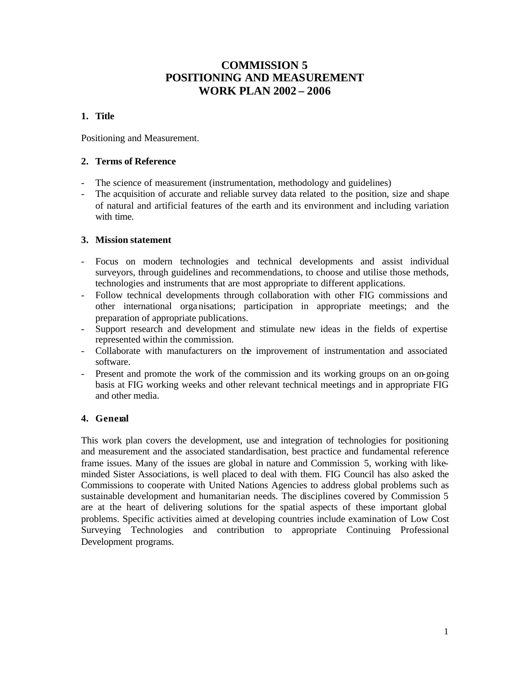# **COMMISSION 5 POSITIONING AND MEASUREMENT WORK PLAN 2002 – 2006**

# **1. Title**

Positioning and Measurement.

### **2. Terms of Reference**

- The science of measurement (instrumentation, methodology and guidelines)
- The acquisition of accurate and reliable survey data related to the position, size and shape of natural and artificial features of the earth and its environment and including variation with time.

### **3. Mission statement**

- Focus on modern technologies and technical developments and assist individual surveyors, through guidelines and recommendations, to choose and utilise those methods, technologies and instruments that are most appropriate to different applications.
- Follow technical developments through collaboration with other FIG commissions and other international orga nisations; participation in appropriate meetings; and the preparation of appropriate publications.
- Support research and development and stimulate new ideas in the fields of expertise represented within the commission.
- Collaborate with manufacturers on the improvement of instrumentation and associated software.
- Present and promote the work of the commission and its working groups on an on-going basis at FIG working weeks and other relevant technical meetings and in appropriate FIG and other media.

# **4. General**

This work plan covers the development, use and integration of technologies for positioning and measurement and the associated standardisation, best practice and fundamental reference frame issues. Many of the issues are global in nature and Commission 5, working with likeminded Sister Associations, is well placed to deal with them. FIG Council has also asked the Commissions to cooperate with United Nations Agencies to address global problems such as sustainable development and humanitarian needs. The disciplines covered by Commission 5 are at the heart of delivering solutions for the spatial aspects of these important global problems. Specific activities aimed at developing countries include examination of Low Cost Surveying Technologies and contribution to appropriate Continuing Professional Development programs.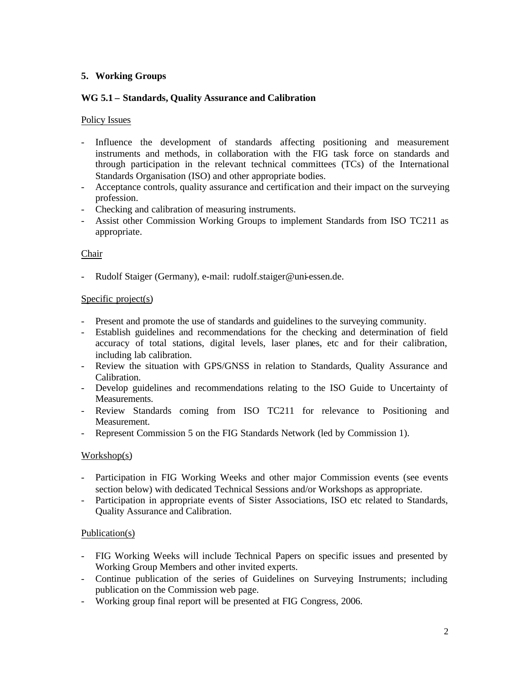# **5. Working Groups**

# **WG 5.1 – Standards, Quality Assurance and Calibration**

# Policy Issues

- Influence the development of standards affecting positioning and measurement instruments and methods, in collaboration with the FIG task force on standards and through participation in the relevant technical committees (TCs) of the International Standards Organisation (ISO) and other appropriate bodies.
- Acceptance controls, quality assurance and certification and their impact on the surveying profession.
- Checking and calibration of measuring instruments.
- Assist other Commission Working Groups to implement Standards from ISO TC211 as appropriate.

# Chair

- Rudolf Staiger (Germany), e-mail: rudolf.staiger@uni-essen.de.

### Specific project(s)

- Present and promote the use of standards and guidelines to the surveying community.
- Establish guidelines and recommendations for the checking and determination of field accuracy of total stations, digital levels, laser planes, etc and for their calibration, including lab calibration.
- Review the situation with GPS/GNSS in relation to Standards, Quality Assurance and Calibration.
- Develop guidelines and recommendations relating to the ISO Guide to Uncertainty of Measurements.
- Review Standards coming from ISO TC211 for relevance to Positioning and Measurement.
- Represent Commission 5 on the FIG Standards Network (led by Commission 1).

# Workshop(s)

- Participation in FIG Working Weeks and other major Commission events (see events section below) with dedicated Technical Sessions and/or Workshops as appropriate.
- Participation in appropriate events of Sister Associations, ISO etc related to Standards, Quality Assurance and Calibration.

#### Publication(s)

- FIG Working Weeks will include Technical Papers on specific issues and presented by Working Group Members and other invited experts.
- Continue publication of the series of Guidelines on Surveying Instruments; including publication on the Commission web page.
- Working group final report will be presented at FIG Congress, 2006.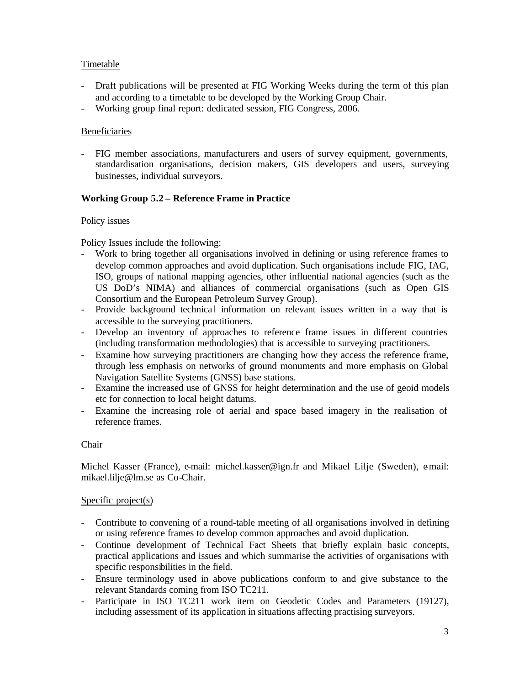# Timetable

- Draft publications will be presented at FIG Working Weeks during the term of this plan and according to a timetable to be developed by the Working Group Chair.
- Working group final report: dedicated session, FIG Congress, 2006.

# Beneficiaries

- FIG member associations, manufacturers and users of survey equipment, governments, standardisation organisations, decision makers, GIS developers and users, surveying businesses, individual surveyors.

# **Working Group 5.2 – Reference Frame in Practice**

# Policy issues

Policy Issues include the following:

- Work to bring together all organisations involved in defining or using reference frames to develop common approaches and avoid duplication. Such organisations include FIG, IAG, ISO, groups of national mapping agencies, other influential national agencies (such as the US DoD's NIMA) and alliances of commercial organisations (such as Open GIS Consortium and the European Petroleum Survey Group).
- Provide background technical information on relevant issues written in a way that is accessible to the surveying practitioners.
- Develop an inventory of approaches to reference frame issues in different countries (including transformation methodologies) that is accessible to surveying practitioners.
- Examine how surveying practitioners are changing how they access the reference frame, through less emphasis on networks of ground monuments and more emphasis on Global Navigation Satellite Systems (GNSS) base stations.
- Examine the increased use of GNSS for height determination and the use of geoid models etc for connection to local height datums.
- Examine the increasing role of aerial and space based imagery in the realisation of reference frames.

# Chair

Michel Kasser (France), e-mail: michel.kasser@ign.fr and Mikael Lilje (Sweden), e-mail: mikael.lilje@lm.se as Co-Chair.

# Specific project(s)

- Contribute to convening of a round-table meeting of all organisations involved in defining or using reference frames to develop common approaches and avoid duplication.
- Continue development of Technical Fact Sheets that briefly explain basic concepts, practical applications and issues and which summarise the activities of organisations with specific responsibilities in the field.
- Ensure terminology used in above publications conform to and give substance to the relevant Standards coming from ISO TC211.
- Participate in ISO TC211 work item on Geodetic Codes and Parameters (19127), including assessment of its application in situations affecting practising surveyors.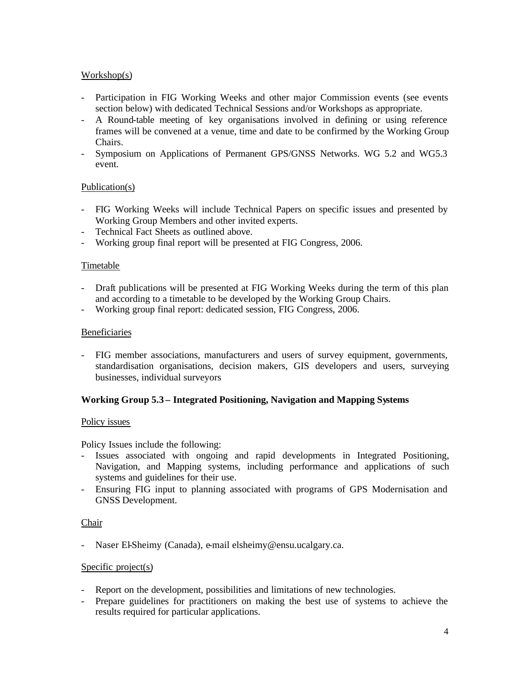### Workshop(s)

- Participation in FIG Working Weeks and other major Commission events (see events section below) with dedicated Technical Sessions and/or Workshops as appropriate.
- A Round-table meeting of key organisations involved in defining or using reference frames will be convened at a venue, time and date to be confirmed by the Working Group Chairs.
- Symposium on Applications of Permanent GPS/GNSS Networks. WG 5.2 and WG5.3 event.

### Publication(s)

- FIG Working Weeks will include Technical Papers on specific issues and presented by Working Group Members and other invited experts.
- Technical Fact Sheets as outlined above.
- Working group final report will be presented at FIG Congress, 2006.

#### Timetable

- Draft publications will be presented at FIG Working Weeks during the term of this plan and according to a timetable to be developed by the Working Group Chairs.
- Working group final report: dedicated session, FIG Congress, 2006.

#### Beneficiaries

- FIG member associations, manufacturers and users of survey equipment, governments, standardisation organisations, decision makers, GIS developers and users, surveying businesses, individual surveyors

#### **Working Group 5.3 – Integrated Positioning, Navigation and Mapping Systems**

#### Policy issues

Policy Issues include the following:

- Issues associated with ongoing and rapid developments in Integrated Positioning, Navigation, and Mapping systems, including performance and applications of such systems and guidelines for their use.
- Ensuring FIG input to planning associated with programs of GPS Modernisation and GNSS Development.

#### Chair

- Naser El-Sheimy (Canada), e-mail elsheimy@ensu.ucalgary.ca.

#### Specific project(s)

- Report on the development, possibilities and limitations of new technologies.
- Prepare guidelines for practitioners on making the best use of systems to achieve the results required for particular applications.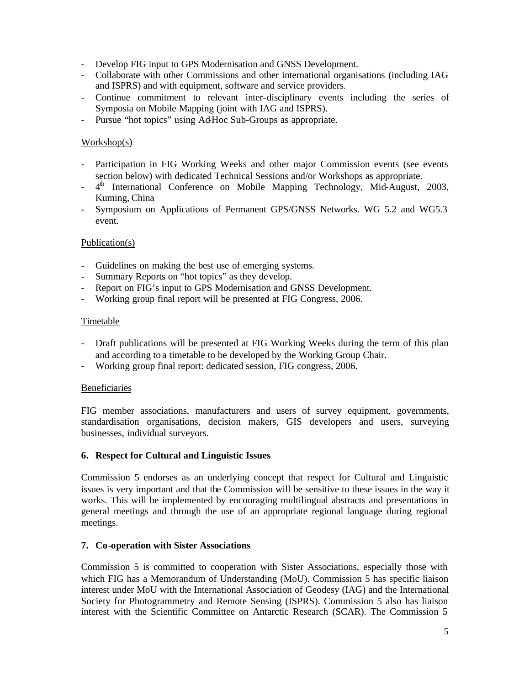- Develop FIG input to GPS Modernisation and GNSS Development.
- Collaborate with other Commissions and other international organisations (including IAG and ISPRS) and with equipment, software and service providers.
- Continue commitment to relevant inter-disciplinary events including the series of Symposia on Mobile Mapping (joint with IAG and ISPRS).
- Pursue "hot topics" using Ad-Hoc Sub-Groups as appropriate.

# Workshop(s)

- Participation in FIG Working Weeks and other major Commission events (see events section below) with dedicated Technical Sessions and/or Workshops as appropriate.
- 4<sup>th</sup> International Conference on Mobile Mapping Technology, Mid-August, 2003, Kuming, China
- Symposium on Applications of Permanent GPS/GNSS Networks. WG 5.2 and WG5.3 event.

### Publication(s)

- Guidelines on making the best use of emerging systems.
- Summary Reports on "hot topics" as they develop.
- Report on FIG's input to GPS Modernisation and GNSS Development.
- Working group final report will be presented at FIG Congress, 2006.

### Timetable

- Draft publications will be presented at FIG Working Weeks during the term of this plan and according to a timetable to be developed by the Working Group Chair.
- Working group final report: dedicated session, FIG congress, 2006.

#### Beneficiaries

FIG member associations, manufacturers and users of survey equipment, governments, standardisation organisations, decision makers, GIS developers and users, surveying businesses, individual surveyors.

#### **6. Respect for Cultural and Linguistic Issues**

Commission 5 endorses as an underlying concept that respect for Cultural and Linguistic issues is very important and that the Commission will be sensitive to these issues in the way it works. This will be implemented by encouraging multilingual abstracts and presentations in general meetings and through the use of an appropriate regional language during regional meetings.

#### **7. Co-operation with Sister Associations**

Commission 5 is committed to cooperation with Sister Associations, especially those with which FIG has a Memorandum of Understanding (MoU). Commission 5 has specific liaison interest under MoU with the International Association of Geodesy (IAG) and the International Society for Photogrammetry and Remote Sensing (ISPRS). Commission 5 also has liaison interest with the Scientific Committee on Antarctic Research (SCAR). The Commission 5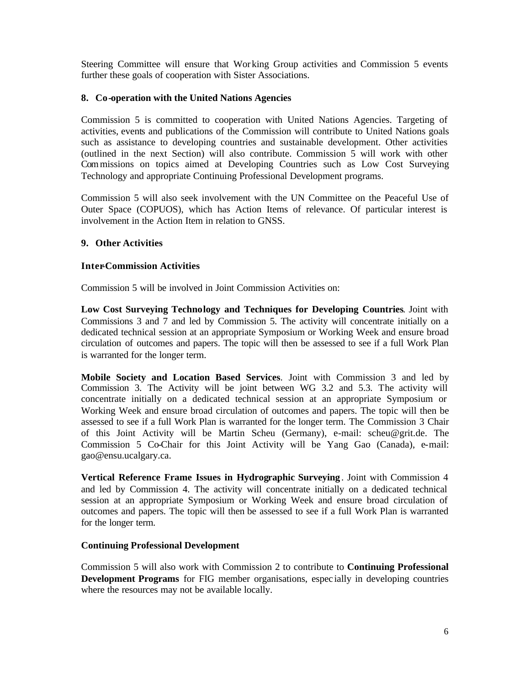Steering Committee will ensure that Wor king Group activities and Commission 5 events further these goals of cooperation with Sister Associations.

### **8. Co-operation with the United Nations Agencies**

Commission 5 is committed to cooperation with United Nations Agencies. Targeting of activities, events and publications of the Commission will contribute to United Nations goals such as assistance to developing countries and sustainable development. Other activities (outlined in the next Section) will also contribute. Commission 5 will work with other Commissions on topics aimed at Developing Countries such as Low Cost Surveying Technology and appropriate Continuing Professional Development programs.

Commission 5 will also seek involvement with the UN Committee on the Peaceful Use of Outer Space (COPUOS), which has Action Items of relevance. Of particular interest is involvement in the Action Item in relation to GNSS.

### **9. Other Activities**

### **Inter-Commission Activities**

Commission 5 will be involved in Joint Commission Activities on:

**Low Cost Surveying Technology and Techniques for Developing Countries**. Joint with Commissions 3 and 7 and led by Commission 5. The activity will concentrate initially on a dedicated technical session at an appropriate Symposium or Working Week and ensure broad circulation of outcomes and papers. The topic will then be assessed to see if a full Work Plan is warranted for the longer term.

**Mobile Society and Location Based Services**. Joint with Commission 3 and led by Commission 3. The Activity will be joint between WG 3.2 and 5.3. The activity will concentrate initially on a dedicated technical session at an appropriate Symposium or Working Week and ensure broad circulation of outcomes and papers. The topic will then be assessed to see if a full Work Plan is warranted for the longer term. The Commission 3 Chair of this Joint Activity will be Martin Scheu (Germany), e-mail: scheu@grit.de. The Commission 5 Co-Chair for this Joint Activity will be Yang Gao (Canada), e-mail: gao@ensu.ucalgary.ca.

**Vertical Reference Frame Issues in Hydrographic Surveying** . Joint with Commission 4 and led by Commission 4. The activity will concentrate initially on a dedicated technical session at an appropriate Symposium or Working Week and ensure broad circulation of outcomes and papers. The topic will then be assessed to see if a full Work Plan is warranted for the longer term.

#### **Continuing Professional Development**

Commission 5 will also work with Commission 2 to contribute to **Continuing Professional Development Programs** for FIG member organisations, espec ially in developing countries where the resources may not be available locally.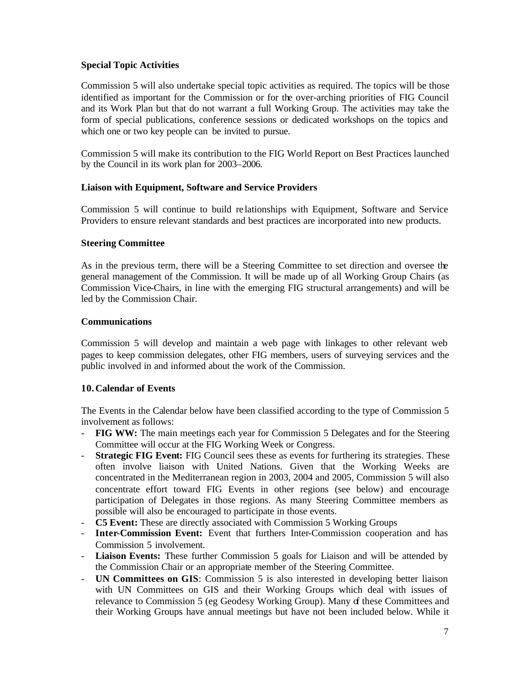# **Special Topic Activities**

Commission 5 will also undertake special topic activities as required. The topics will be those identified as important for the Commission or for the over-arching priorities of FIG Council and its Work Plan but that do not warrant a full Working Group. The activities may take the form of special publications, conference sessions or dedicated workshops on the topics and which one or two key people can be invited to pursue.

Commission 5 will make its contribution to the FIG World Report on Best Practices launched by the Council in its work plan for 2003–2006.

### **Liaison with Equipment, Software and Service Providers**

Commission 5 will continue to build re lationships with Equipment, Software and Service Providers to ensure relevant standards and best practices are incorporated into new products.

#### **Steering Committee**

As in the previous term, there will be a Steering Committee to set direction and oversee the general management of the Commission. It will be made up of all Working Group Chairs (as Commission Vice-Chairs, in line with the emerging FIG structural arrangements) and will be led by the Commission Chair.

#### **Communications**

Commission 5 will develop and maintain a web page with linkages to other relevant web pages to keep commission delegates, other FIG members, users of surveying services and the public involved in and informed about the work of the Commission.

#### **10.Calendar of Events**

The Events in the Calendar below have been classified according to the type of Commission 5 involvement as follows:

- **FIG WW:** The main meetings each year for Commission 5 Delegates and for the Steering Committee will occur at the FIG Working Week or Congress.
- **Strategic FIG Event:** FIG Council sees these as events for furthering its strategies. These often involve liaison with United Nations. Given that the Working Weeks are concentrated in the Mediterranean region in 2003, 2004 and 2005, Commission 5 will also concentrate effort toward FIG Events in other regions (see below) and encourage participation of Delegates in those regions. As many Steering Committee members as possible will also be encouraged to participate in those events.
- **C5 Event:** These are directly associated with Commission 5 Working Groups
- **Inter-Commission Event:** Event that furthers Inter-Commission cooperation and has Commission 5 involvement.
- **Liaison Events:** These further Commission 5 goals for Liaison and will be attended by the Commission Chair or an appropriate member of the Steering Committee.
- **UN Committees on GIS**: Commission 5 is also interested in developing better liaison with UN Committees on GIS and their Working Groups which deal with issues of relevance to Commission 5 (eg Geodesy Working Group). Many of these Committees and their Working Groups have annual meetings but have not been included below. While it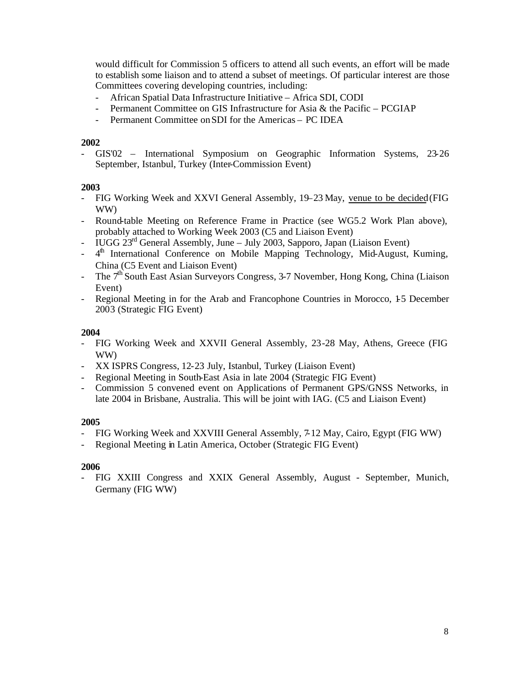would difficult for Commission 5 officers to attend all such events, an effort will be made to establish some liaison and to attend a subset of meetings. Of particular interest are those Committees covering developing countries, including:

- African Spatial Data Infrastructure Initiative Africa SDI, CODI
- Permanent Committee on GIS Infrastructure for Asia & the Pacific PCGIAP
- Permanent Committee on SDI for the Americas PC IDEA

#### **2002**

- GIS'02 – International Symposium on Geographic Information Systems, 23-26 September, Istanbul, Turkey (Inter-Commission Event)

#### **2003**

- FIG Working Week and XXVI General Assembly, 19–23 May, venue to be decided (FIG WW)
- Round-table Meeting on Reference Frame in Practice (see WG5.2 Work Plan above), probably attached to Working Week 2003 (C5 and Liaison Event)
- IUGG 23rd General Assembly, June July 2003, Sapporo, Japan (Liaison Event)
- 4<sup>th</sup> International Conference on Mobile Mapping Technology, Mid-August, Kuming, China (C5 Event and Liaison Event)
- The  $7<sup>th</sup>$  South East Asian Surveyors Congress, 3-7 November, Hong Kong, China (Liaison Event)
- Regional Meeting in for the Arab and Francophone Countries in Morocco, 15 December 2003 (Strategic FIG Event)

#### **2004**

- FIG Working Week and XXVII General Assembly, 23-28 May, Athens, Greece (FIG WW)
- XX ISPRS Congress, 12-23 July, Istanbul, Turkey (Liaison Event)
- Regional Meeting in South-East Asia in late 2004 (Strategic FIG Event)
- Commission 5 convened event on Applications of Permanent GPS/GNSS Networks, in late 2004 in Brisbane, Australia. This will be joint with IAG. (C5 and Liaison Event)

#### **2005**

- FIG Working Week and XXVIII General Assembly, 7-12 May, Cairo, Egypt (FIG WW)
- Regional Meeting in Latin America, October (Strategic FIG Event)

#### **2006**

- FIG XXIII Congress and XXIX General Assembly, August - September, Munich, Germany (FIG WW)